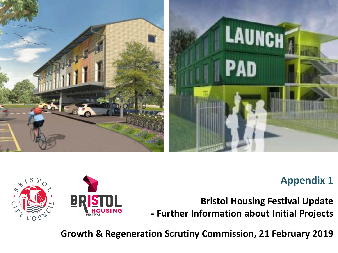

### **Appendix 1**

**Bristol Housing Festival Update - Further Information about Initial Projects**

**Growth & Regeneration Scrutiny Commission, 21 February 2019**

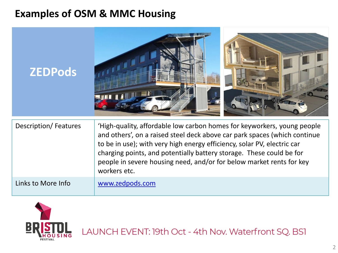## **Examples of OSM & MMC Housing**

| <b>ZEDPods</b>              |                                                                                                                                                                                                                                                                                                                                                                                                 |
|-----------------------------|-------------------------------------------------------------------------------------------------------------------------------------------------------------------------------------------------------------------------------------------------------------------------------------------------------------------------------------------------------------------------------------------------|
| <b>Description/Features</b> | 'High-quality, affordable low carbon homes for keyworkers, young people<br>and others', on a raised steel deck above car park spaces (which continue<br>to be in use); with very high energy efficiency, solar PV, electric car<br>charging points, and potentially battery storage. These could be for<br>people in severe housing need, and/or for below market rents for key<br>workers etc. |
| Links to More Info          | www.zedpods.com                                                                                                                                                                                                                                                                                                                                                                                 |



LAUNCH EVENT: 19th Oct - 4th Nov. Waterfront SQ. BS1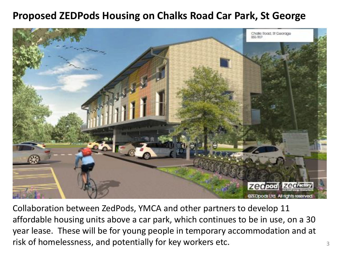## **Proposed ZEDPods Housing on Chalks Road Car Park, St George**



Collaboration between ZedPods, YMCA and other partners to develop 11 affordable housing units above a car park, which continues to be in use, on a 30 year lease. These will be for young people in temporary accommodation and at risk of homelessness, and potentially for key workers etc.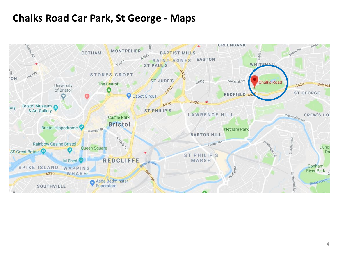### **Chalks Road Car Park, St George - Maps**

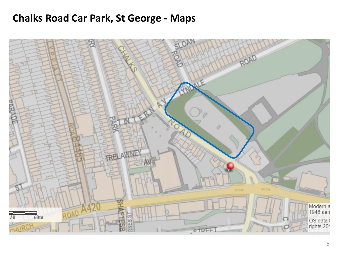#### **Chalks Road Car Park, St George - Maps**

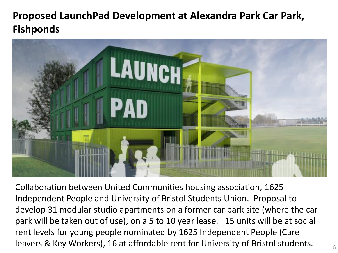# **Proposed LaunchPad Development at Alexandra Park Car Park, Fishponds**



Collaboration between United Communities housing association, 1625 Independent People and University of Bristol Students Union. Proposal to develop 31 modular studio apartments on a former car park site (where the car park will be taken out of use), on a 5 to 10 year lease. 15 units will be at social rent levels for young people nominated by 1625 Independent People (Care leavers & Key Workers), 16 at affordable rent for University of Bristol students.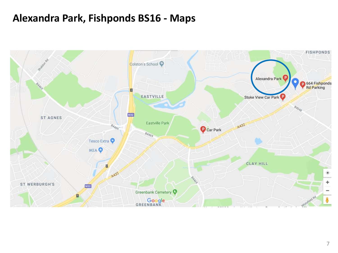#### **Alexandra Park, Fishponds BS16 - Maps**

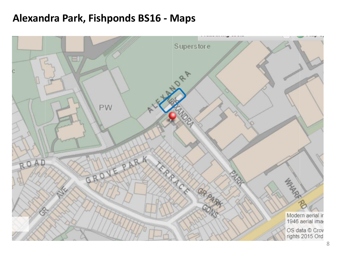#### **Alexandra Park, Fishponds BS16 - Maps**